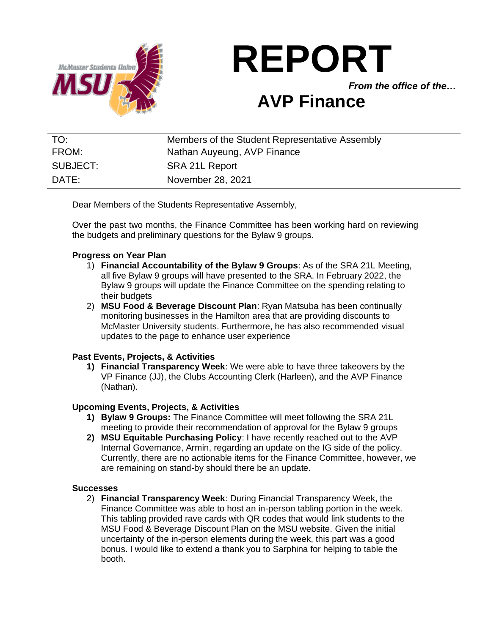

# **REPORT**

*From the office of the…*

# **AVP Finance**

| TO:      | Members of the Student Representative Assembly |
|----------|------------------------------------------------|
| FROM:    | Nathan Auyeung, AVP Finance                    |
| SUBJECT: | SRA 21L Report                                 |
| DATE:    | November 28, 2021                              |

Dear Members of the Students Representative Assembly,

Over the past two months, the Finance Committee has been working hard on reviewing the budgets and preliminary questions for the Bylaw 9 groups.

### **Progress on Year Plan**

- 1) **Financial Accountability of the Bylaw 9 Groups**: As of the SRA 21L Meeting, all five Bylaw 9 groups will have presented to the SRA. In February 2022, the Bylaw 9 groups will update the Finance Committee on the spending relating to their budgets
- 2) **MSU Food & Beverage Discount Plan**: Ryan Matsuba has been continually monitoring businesses in the Hamilton area that are providing discounts to McMaster University students. Furthermore, he has also recommended visual updates to the page to enhance user experience

# **Past Events, Projects, & Activities**

**1) Financial Transparency Week**: We were able to have three takeovers by the VP Finance (JJ), the Clubs Accounting Clerk (Harleen), and the AVP Finance (Nathan).

#### **Upcoming Events, Projects, & Activities**

- **1) Bylaw 9 Groups:** The Finance Committee will meet following the SRA 21L meeting to provide their recommendation of approval for the Bylaw 9 groups
- **2) MSU Equitable Purchasing Policy**: I have recently reached out to the AVP Internal Governance, Armin, regarding an update on the IG side of the policy. Currently, there are no actionable items for the Finance Committee, however, we are remaining on stand-by should there be an update.

#### **Successes**

2) **Financial Transparency Week**: During Financial Transparency Week, the Finance Committee was able to host an in-person tabling portion in the week. This tabling provided rave cards with QR codes that would link students to the MSU Food & Beverage Discount Plan on the MSU website. Given the initial uncertainty of the in-person elements during the week, this part was a good bonus. I would like to extend a thank you to Sarphina for helping to table the booth.